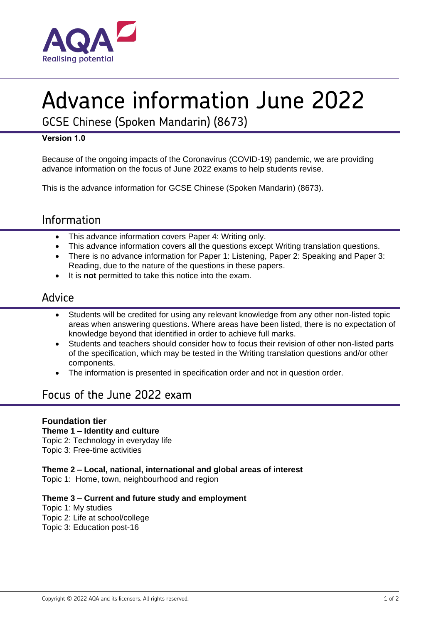

# Advance information June 2022

GCSE Chinese (Spoken Mandarin) (8673)

### **Version 1.0**

Because of the ongoing impacts of the Coronavirus (COVID-19) pandemic, we are providing advance information on the focus of June 2022 exams to help students revise.

This is the advance information for GCSE Chinese (Spoken Mandarin) (8673).

# Information

- This advance information covers Paper 4: Writing only.
- This advance information covers all the questions except Writing translation questions.
- There is no advance information for Paper 1: Listening, Paper 2: Speaking and Paper 3: Reading, due to the nature of the questions in these papers.
- It is **not** permitted to take this notice into the exam.

## Advice

- Students will be credited for using any relevant knowledge from any other non-listed topic areas when answering questions. Where areas have been listed, there is no expectation of knowledge beyond that identified in order to achieve full marks.
- Students and teachers should consider how to focus their revision of other non-listed parts of the specification, which may be tested in the Writing translation questions and/or other components.
- The information is presented in specification order and not in question order.

# Focus of the June 2022 exam

## **Foundation tier**

#### **Theme 1 – Identity and culture**

Topic 2: Technology in everyday life

Topic 3: Free-time activities

#### **Theme 2 – Local, national, international and global areas of interest**

Topic 1: Home, town, neighbourhood and region

#### **Theme 3 – Current and future study and employment**

Topic 1: My studies Topic 2: Life at school/college Topic 3: Education post-16